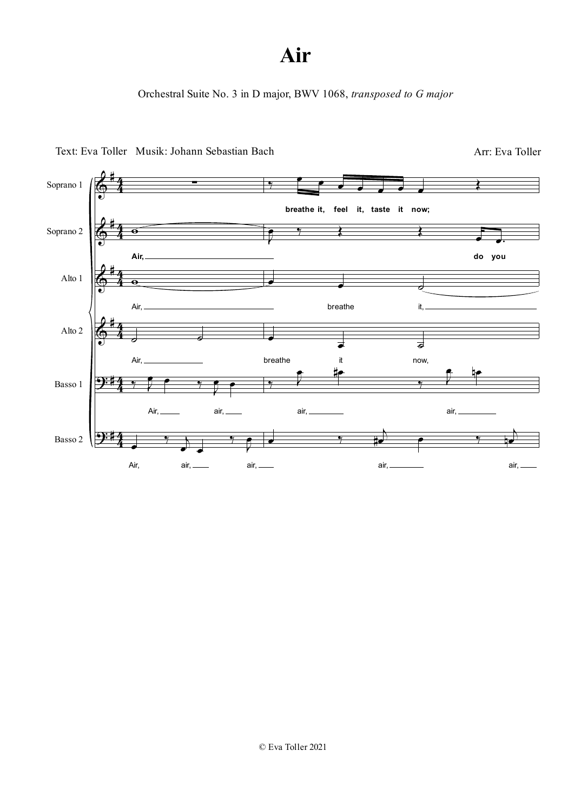## **Air**

## Orchestral Suite No. 3 in D major, BWV 1068, *transposed to G major*



## Text: Eva Toller Musik: Johann Sebastian Bach Arr: Eva Toller Arr: Eva Toller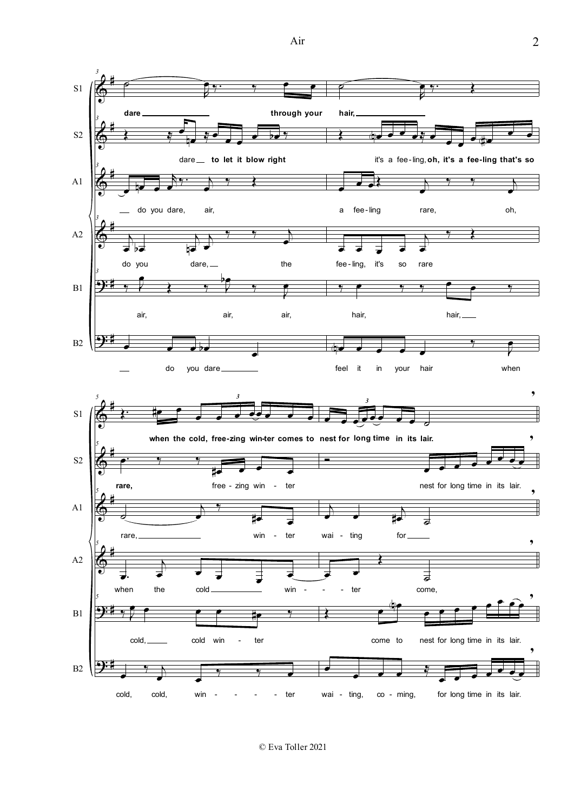

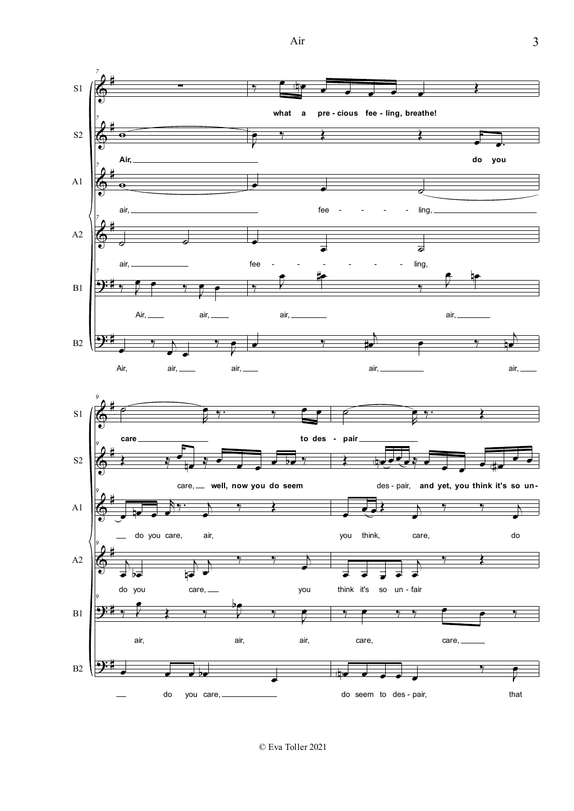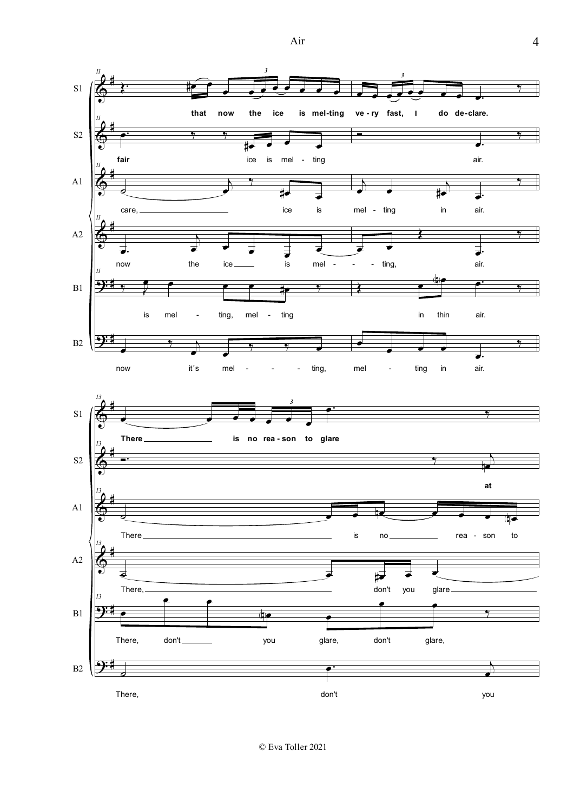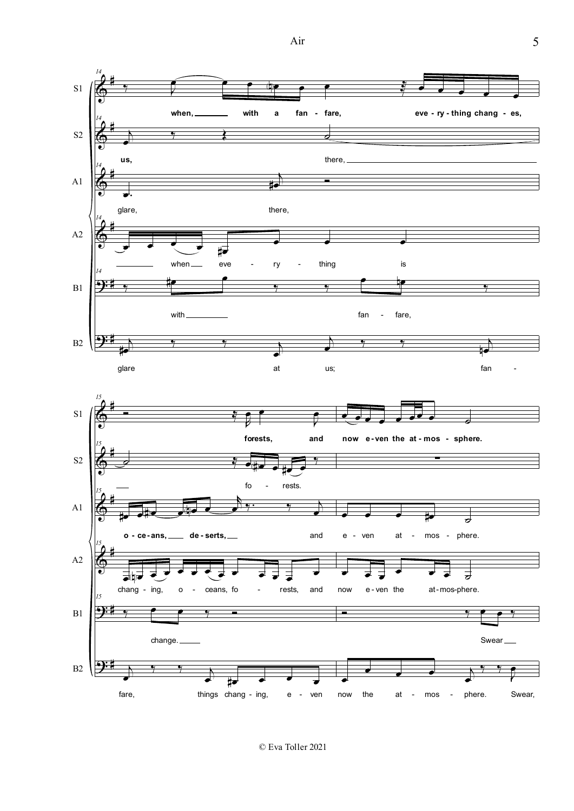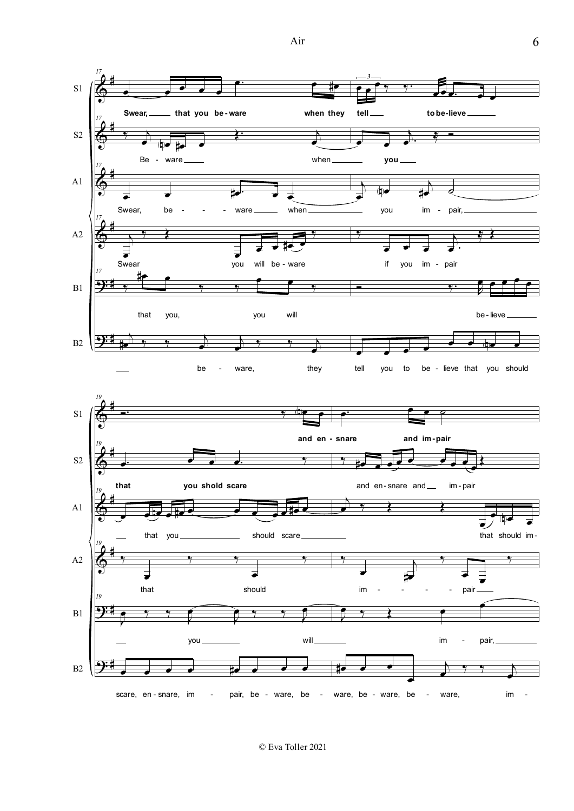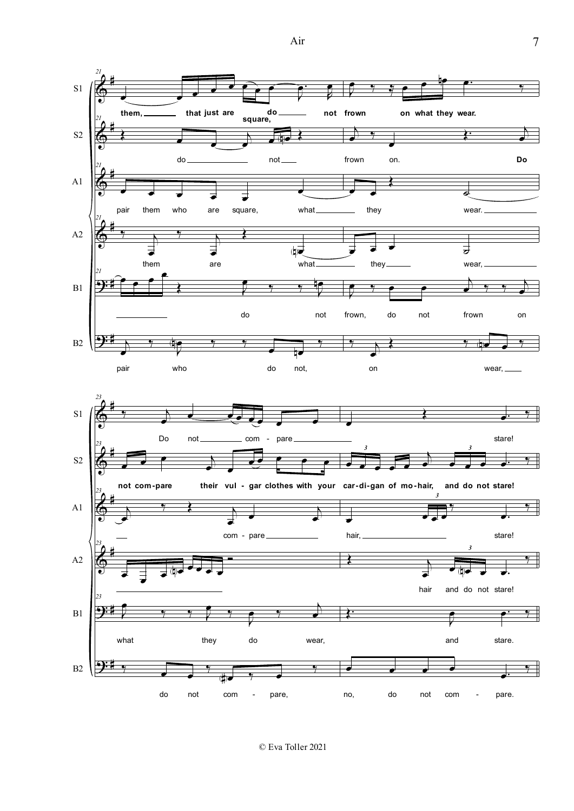

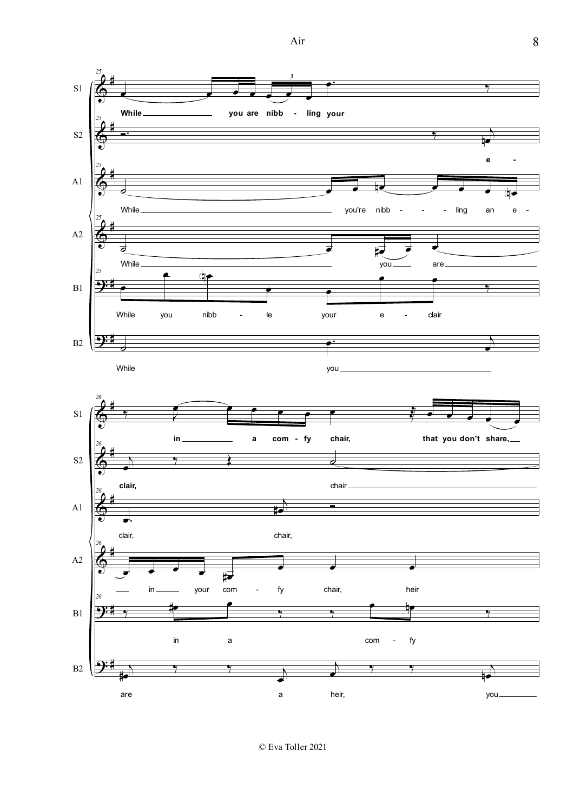

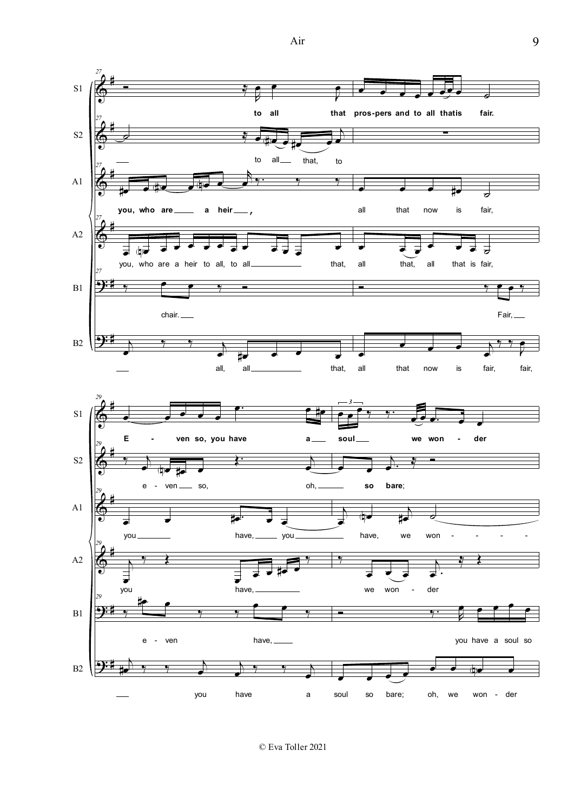

soul so bare; oh, we won - der

you have a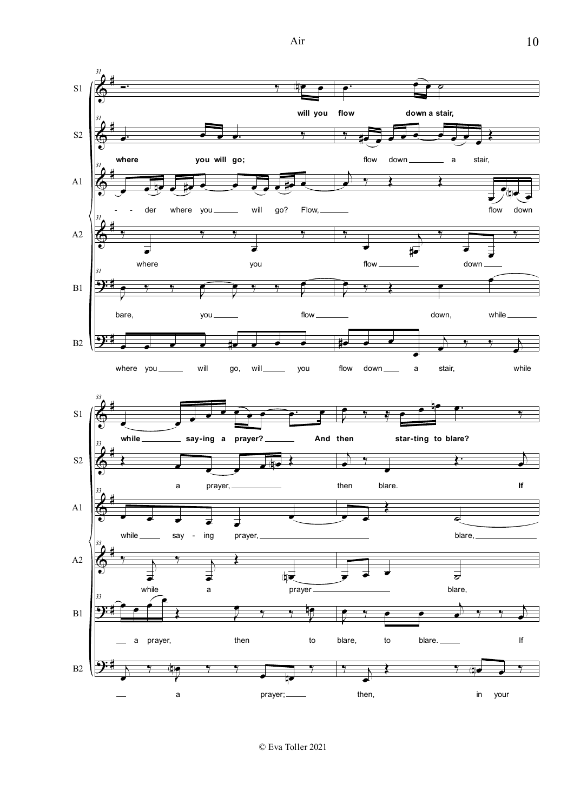Air 10